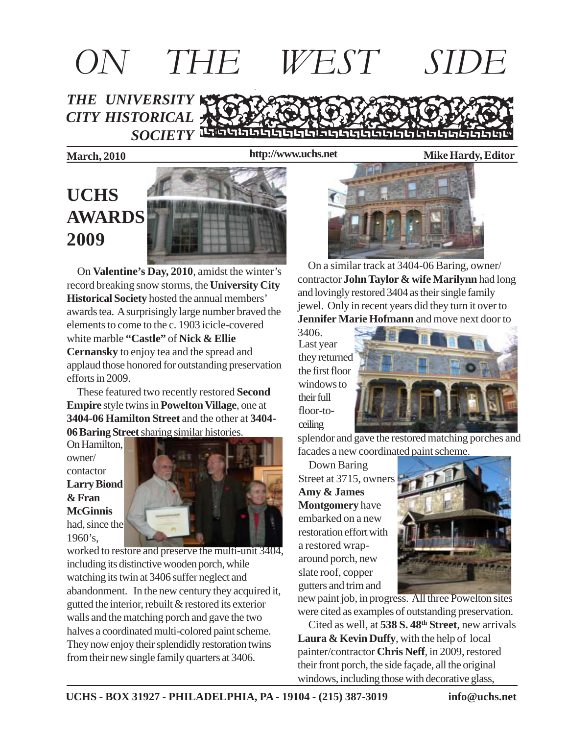# *THE UNIVERSITY CITY HISTORICAL SOCIETY ON THE WEST SIDE*

**2009**

**http://www.uchs.net**

**March, 2010 Mike Hardy, Editor**

# **UCHS AWARDS**

 On **Valentine's Day, 2010**, amidst the winter's record breaking snow storms, the **University City Historical Society** hosted the annual members' awards tea. A surprisingly large number braved the elements to come to the c. 1903 icicle-covered white marble **"Castle"** of **Nick & Ellie Cernansky** to enjoy tea and the spread and applaud those honored for outstanding preservation efforts in 2009.

 These featured two recently restored **Second Empire** style twins in **Powelton Village**, one at **3404-06 Hamilton Street** and the other at **3404- 06 Baring Street** sharing similar histories.

On Hamilton, owner/ contactor **Larry Biond & Fran McGinnis** had, since the 1960's,



worked to restore and preserve the multi-unit 3404, including its distinctive wooden porch, while watching its twin at 3406 suffer neglect and abandonment. In the new century they acquired it, gutted the interior, rebuilt & restored its exterior walls and the matching porch and gave the two halves a coordinated multi-colored paint scheme. They now enjoy their splendidly restoration twins from their new single family quarters at 3406.



 On a similar track at 3404-06 Baring, owner/ contractor **John Taylor & wife Marilynn** had long and lovingly restored 3404 as their single family jewel. Only in recent years did they turn it over to **Jennifer Marie Hofmann** and move next door to

3406. Last year they returned the first floor windows to their full floor-toceiling



splendor and gave the restored matching porches and facades a new coordinated paint scheme.

 Down Baring Street at 3715, owners **Amy & James Montgomery** have embarked on a new restoration effort with a restored wraparound porch, new slate roof, copper gutters and trim and



new paint job, in progress. All three Powelton sites were cited as examples of outstanding preservation.

 Cited as well, at **538 S. 48th Street**, new arrivals **Laura & Kevin Duffy**, with the help of local painter/contractor **Chris Neff**, in 2009, restored their front porch, the side façade, all the original windows, including those with decorative glass,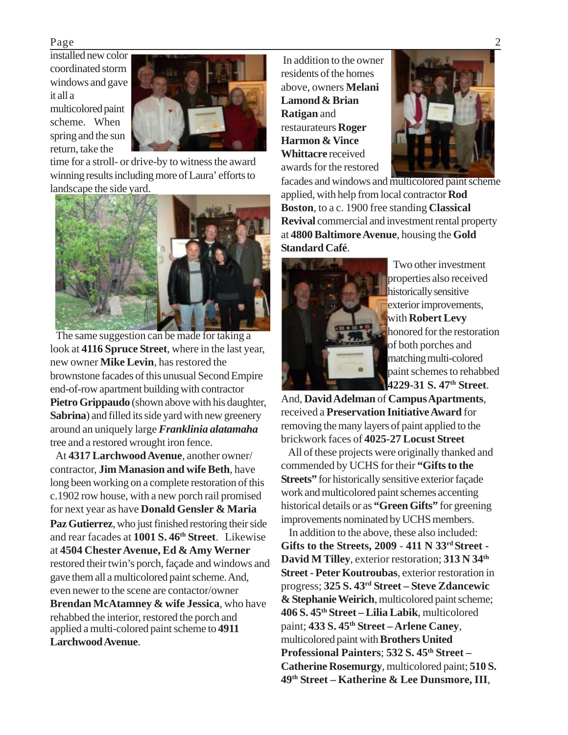installed new color coordinated storm windows and gave it all a

multicolored paint scheme. When spring and the sun return, take the



time for a stroll- or drive-by to witness the award winning results including more of Laura' efforts to landscape the side yard.



 The same suggestion can be made for taking a look at **4116 Spruce Street**, where in the last year, new owner **Mike Levin**, has restored the brownstone facades of this unusual Second Empire end-of-row apartment building with contractor **Pietro Grippaudo** (shown above with his daughter, **Sabrina**) and filled its side yard with new greenery around an uniquely large *Franklinia alatamaha* tree and a restored wrought iron fence.

 At **4317 Larchwood Avenue**, another owner/ contractor, **Jim Manasion and wife Beth**, have long been working on a complete restoration of this c.1902 row house, with a new porch rail promised for next year as have **Donald Gensler & Maria Paz Gutierrez**, who just finished restoring their side and rear facades at **1001 S. 46th Street**. Likewise at **4504 Chester Avenue, Ed & Amy Werner** restored their twin's porch, façade and windows and gave them all a multicolored paint scheme. And, even newer to the scene are contactor/owner **Brendan McAtamney & wife Jessica**, who have rehabbed the interior, restored the porch and applied a multi-colored paint scheme to **4911 Larchwood Avenue**.

 In addition to the owner residents of the homes above, owners **Melani Lamond & Brian Ratigan** and restaurateurs **Roger Harmon & Vince Whittacre** received awards for the restored



facades and windows and multicolored paint scheme applied, with help from local contractor **Rod Boston**, to a c. 1900 free standing **Classical Revival** commercial and investment rental property at **4800 Baltimore Avenue**, housing the **Gold Standard Café**.



 Two other investment properties also received historically sensitive exterior improvements, with **Robert Levy** honored for the restoration of both porches and matching multi-colored paint schemes to rehabbed **4229-31 S. 47th Street**.

And, **David Adelman** of **Campus Apartments**, received a **Preservation Initiative Award** for removing the many layers of paint applied to the brickwork faces of **4025-27 Locust Street**

 All of these projects were originally thanked and commended by UCHS for their **"Gifts to the Streets**" for historically sensitive exterior façade work and multicolored paint schemes accenting historical details or as **"Green Gifts"** for greening improvements nominated by UCHS members.

 In addition to the above, these also included: **Gifts to the Streets, 2009** - **411 N 33rd Street - David M Tilley**, exterior restoration; **313 N 34th Street - Peter Koutroubas**, exterior restoration in progress; **325 S. 43rd Street – Steve Zdancewic & Stephanie Weirich**, multicolored paint scheme; **406 S. 45th Street – Lilia Labik**, multicolored paint; **433 S. 45th Street – Arlene Caney**, multicolored paint with **Brothers United Professional Painters**; **532 S. 45th Street – Catherine Rosemurgy**, multicolored paint; **510 S. 49th Street – Katherine & Lee Dunsmore, III**,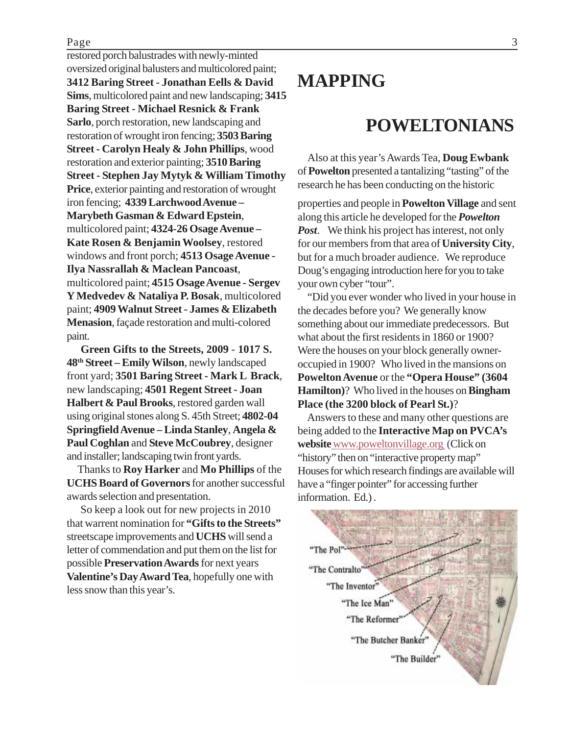#### Page 3

restored porch balustrades with newly-minted oversized original balusters and multicolored paint; **3412 Baring Street - Jonathan Eells & David Sims**, multicolored paint and new landscaping; **3415 Baring Street - Michael Resnick & Frank Sarlo**, porch restoration, new landscaping and restoration of wrought iron fencing; **3503 Baring Street - Carolyn Healy & John Phillips**, wood restoration and exterior painting; **3510 Baring Street - Stephen Jay Mytyk & William Timothy Price**, exterior painting and restoration of wrought iron fencing; **4339 Larchwood Avenue – Marybeth Gasman & Edward Epstein**, multicolored paint; **4324-26 Osage Avenue – Kate Rosen & Benjamin Woolsey**, restored windows and front porch; **4513 Osage Avenue - Ilya Nassrallah & Maclean Pancoast**, multicolored paint; **4515 Osage Avenue - Sergev Y Medvedev & Nataliya P. Bosak**, multicolored paint; **4909 Walnut Street - James & Elizabeth Menasion**, façade restoration and multi-colored paint.

 **Green Gifts to the Streets, 2009** - **1017 S. 48th Street – Emily Wilson**, newly landscaped front yard; **3501 Baring Street - Mark L Brack**, new landscaping; **4501 Regent Street - Joan Halbert & Paul Brooks**, restored garden wall using original stones along S. 45th Street; **4802-04 Springfield Avenue – Linda Stanley**, **Angela & Paul Coghlan** and **Steve McCoubrey**, designer and installer; landscaping twin front yards.

 Thanks to **Roy Harker** and **Mo Phillips** of the **UCHS Board of Governors** for another successful awards selection and presentation.

 So keep a look out for new projects in 2010 that warrent nomination for **"Gifts to the Streets"** streetscape improvements and **UCHS** will send a letter of commendation and put them on the list for possible **Preservation Awards** for next years **Valentine's Day Award Tea**, hopefully one with less snow than this year's.

## **MAPPING**

### **POWELTONIANS**

 Also at this year's Awards Tea, **Doug Ewbank** of **Powelton** presented a tantalizing "tasting" of the research he has been conducting on the historic

properties and people in **Powelton Village** and sent along this article he developed for the *Powelton Post*. We think his project has interest, not only for our members from that area of **University City**, but for a much broader audience. We reproduce Doug's engaging introduction here for you to take your own cyber "tour".

 "Did you ever wonder who lived in your house in the decades before you? We generally know something about our immediate predecessors. But what about the first residents in 1860 or 1900? Were the houses on your block generally owneroccupied in 1900? Who lived in the mansions on **Powelton Avenue** or the **"Opera House" (3604 Hamilton)**? Who lived in the houses on **Bingham Place (the 3200 block of Pearl St.)**?

 Answers to these and many other questions are being added to the **Interactive Map on PVCA's website**www.poweltonvillage.org (Click on "history" then on "interactive property map" Houses for which research findings are available will have a "finger pointer" for accessing further information. Ed.) .

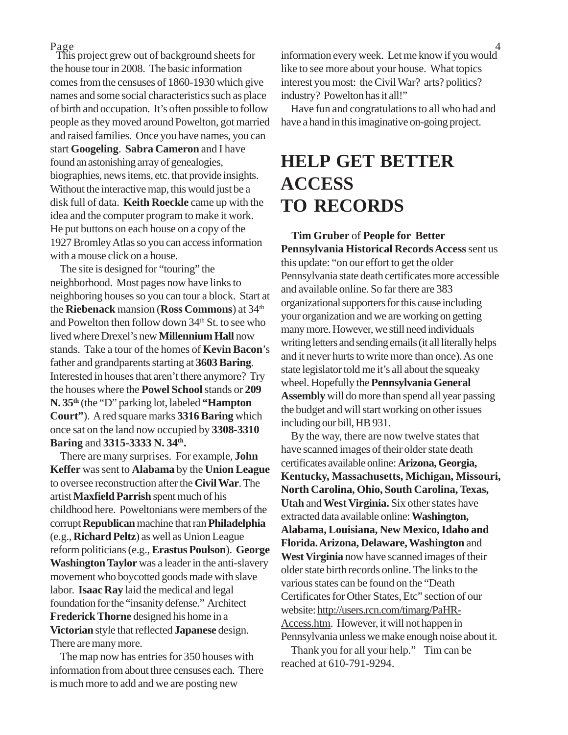This project grew out of background sheets for the house tour in 2008. The basic information comes from the censuses of 1860-1930 which give names and some social characteristics such as place of birth and occupation. It's often possible to follow people as they moved around Powelton, got married and raised families. Once you have names, you can start **Googeling**. **Sabra Cameron** and I have found an astonishing array of genealogies, biographies, news items, etc. that provide insights. Without the interactive map, this would just be a disk full of data. **Keith Roeckle** came up with the idea and the computer program to make it work. He put buttons on each house on a copy of the 1927 Bromley Atlas so you can access information with a mouse click on a house.

 The site is designed for "touring" the neighborhood. Most pages now have links to neighboring houses so you can tour a block. Start at the **Riebenack** mansion (**Ross Commons**) at 34th and Powelton then follow down 34<sup>th</sup> St. to see who lived where Drexel's new **Millennium Hall** now stands. Take a tour of the homes of **Kevin Bacon**'s father and grandparents starting at **3603 Baring**. Interested in houses that aren't there anymore? Try the houses where the **Powel School** stands or **209 N. 35th** (the "D" parking lot, labeled **"Hampton Court"**). A red square marks **3316 Baring** which once sat on the land now occupied by **3308-3310 Baring** and **3315-3333 N. 34th.**

 There are many surprises. For example, **John Keffer** was sent to **Alabama** by the **Union League** to oversee reconstruction after the **Civil War**. The artist **Maxfield Parrish** spent much of his childhood here. Poweltonians were members of the corrupt **Republican** machine that ran **Philadelphia** (e.g., **Richard Peltz**) as well as Union League reform politicians (e.g., **Erastus Poulson**). **George Washington Taylor** was a leader in the anti-slavery movement who boycotted goods made with slave labor. **Isaac Ray** laid the medical and legal foundation for the "insanity defense." Architect **Frederick Thorne** designed his home in a **Victorian** style that reflected **Japanese** design. There are many more.

 The map now has entries for 350 houses with information from about three censuses each. There is much more to add and we are posting new

 $Page$   $4$ information every week. Let me know if you would like to see more about your house. What topics interest you most: the Civil War? arts? politics? industry? Powelton has it all!"

> Have fun and congratulations to all who had and have a hand in this imaginative on-going project.

## **HELP GET BETTER ACCESS TO RECORDS**

 **Tim Gruber** of **People for Better Pennsylvania Historical Records Access** sent us this update: "on our effort to get the older Pennsylvania state death certificates more accessible and available online. So far there are 383 organizational supporters for this cause including your organization and we are working on getting many more. However, we still need individuals writing letters and sending emails (it all literally helps and it never hurts to write more than once). As one state legislator told me it's all about the squeaky wheel. Hopefully the **Pennsylvania General Assembly** will do more than spend all year passing the budget and will start working on other issues including our bill, HB 931.

 By the way, there are now twelve states that have scanned images of their older state death certificates available online: **Arizona, Georgia, Kentucky, Massachusetts, Michigan, Missouri, North Carolina, Ohio, South Carolina, Texas, Utah** and **West Virginia.** Six other states have extracted data available online: **Washington, Alabama, Louisiana, New Mexico, Idaho and Florida. Arizona, Delaware, Washington** and **West Virginia** now have scanned images of their older state birth records online. The links to the various states can be found on the "Death Certificates for Other States, Etc" section of our website: http://users.rcn.com/timarg/PaHR-Access.htm. However, it will not happen in Pennsylvania unless we make enough noise about it.

 Thank you for all your help." Tim can be reached at 610-791-9294.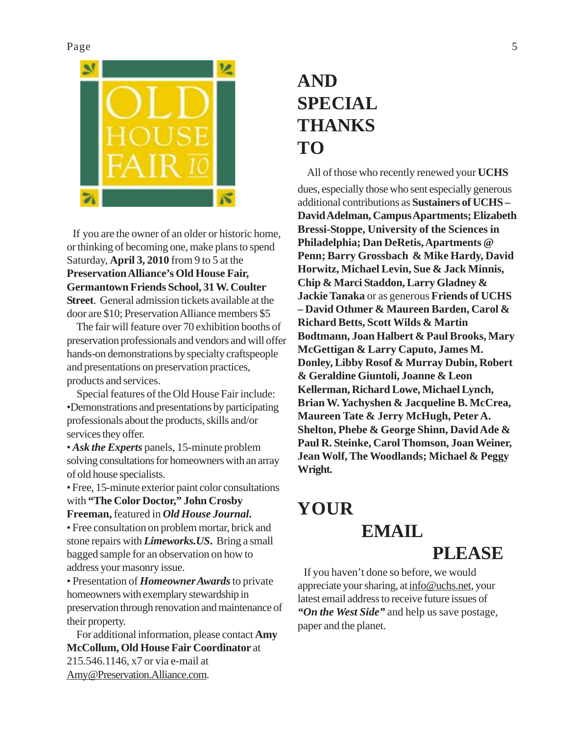

If you are the owner of an older or historic home, or thinking of becoming one, make plans to spend Saturday, **April 3, 2010** from 9 to 5 at the **Preservation Alliance's Old House Fair, Germantown Friends School, 31 W. Coulter Street**. General admission tickets available at the door are \$10; Preservation Alliance members \$5

 The fair will feature over 70 exhibition booths of preservation professionals and vendors and will offer hands-on demonstrations by specialty craftspeople and presentations on preservation practices, products and services.

 Special features of the Old House Fair include: •Demonstrations and presentations by participating professionals about the products, skills and/or services they offer.

• *Ask the Experts* panels, 15-minute problem solving consultations for homeowners with an array of old house specialists.

• Free, 15-minute exterior paint color consultations with **"The Color Doctor," John Crosby**

#### **Freeman,** featured in *Old House Journal***.**

• Free consultation on problem mortar, brick and stone repairs with *Limeworks.US***.** Bring a small bagged sample for an observation on how to address your masonry issue.

• Presentation of *Homeowner Awards* to private homeowners with exemplary stewardship in preservation through renovation and maintenance of their property.

 For additional information, please contact **Amy McCollum, Old House Fair Coordinator** at 215.546.1146, x7 or via e-mail at Amy@Preservation.Alliance.com.

# **AND SPECIAL THANKS TO**

All of those who recently renewed your **UCHS** dues, especially those who sent especially generous additional contributions as **Sustainers of UCHS – David Adelman, Campus Apartments; Elizabeth Bressi-Stoppe, University of the Sciences in Philadelphia; Dan DeRetis, Apartments @ Penn; Barry Grossbach & Mike Hardy, David Horwitz, Michael Levin, Sue & Jack Minnis, Chip & Marci Staddon, Larry Gladney & Jackie Tanaka** or as generous **Friends of UCHS – David Othmer & Maureen Barden, Carol & Richard Betts, Scott Wilds & Martin Bodtmann, Joan Halbert & Paul Brooks, Mary McGettigan & Larry Caputo, James M. Donley, Libby Rosof & Murray Dubin, Robert & Geraldine Giuntoli, Joanne & Leon Kellerman, Richard Lowe, Michael Lynch, Brian W. Yachyshen & Jacqueline B. McCrea, Maureen Tate & Jerry McHugh, Peter A. Shelton, Phebe & George Shinn, David Ade & Paul R. Steinke, Carol Thomson, Joan Weiner, Jean Wolf, The Woodlands; Michael & Peggy Wright.**

# **YOUR EMAIL**

## **PLEASE**

 If you haven't done so before, we would appreciate your sharing, at info@uchs.net, your latest email address to receive future issues of *"On the West Side"* and help us save postage, paper and the planet.